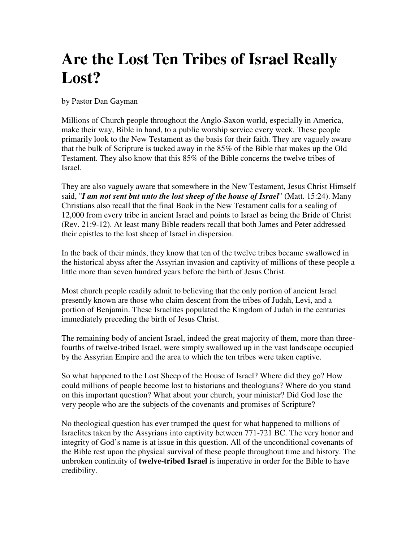## **Are the Lost Ten Tribes of Israel Really Lost?**

by Pastor Dan Gayman

Millions of Church people throughout the Anglo-Saxon world, especially in America, make their way, Bible in hand, to a public worship service every week. These people primarily look to the New Testament as the basis for their faith. They are vaguely aware that the bulk of Scripture is tucked away in the 85% of the Bible that makes up the Old Testament. They also know that this 85% of the Bible concerns the twelve tribes of Israel.

They are also vaguely aware that somewhere in the New Testament, Jesus Christ Himself said, "*I am not sent but unto the lost sheep of the house of Israel*" (Matt. 15:24). Many Christians also recall that the final Book in the New Testament calls for a sealing of 12,000 from every tribe in ancient Israel and points to Israel as being the Bride of Christ (Rev. 21:9-12). At least many Bible readers recall that both James and Peter addressed their epistles to the lost sheep of Israel in dispersion.

In the back of their minds, they know that ten of the twelve tribes became swallowed in the historical abyss after the Assyrian invasion and captivity of millions of these people a little more than seven hundred years before the birth of Jesus Christ.

Most church people readily admit to believing that the only portion of ancient Israel presently known are those who claim descent from the tribes of Judah, Levi, and a portion of Benjamin. These Israelites populated the Kingdom of Judah in the centuries immediately preceding the birth of Jesus Christ.

The remaining body of ancient Israel, indeed the great majority of them, more than threefourths of twelve-tribed Israel, were simply swallowed up in the vast landscape occupied by the Assyrian Empire and the area to which the ten tribes were taken captive.

So what happened to the Lost Sheep of the House of Israel? Where did they go? How could millions of people become lost to historians and theologians? Where do you stand on this important question? What about your church, your minister? Did God lose the very people who are the subjects of the covenants and promises of Scripture?

No theological question has ever trumped the quest for what happened to millions of Israelites taken by the Assyrians into captivity between 771-721 BC. The very honor and integrity of God's name is at issue in this question. All of the unconditional covenants of the Bible rest upon the physical survival of these people throughout time and history. The unbroken continuity of **twelve-tribed Israel** is imperative in order for the Bible to have credibility.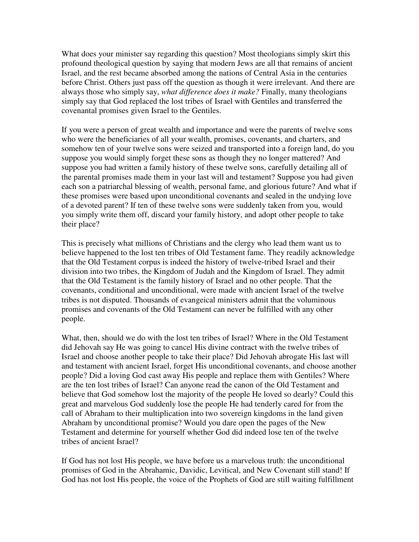What does your minister say regarding this question? Most theologians simply skirt this profound theological question by saying that modern Jews are all that remains of ancient Israel, and the rest became absorbed among the nations of Central Asia in the centuries before Christ. Others just pass off the question as though it were irrelevant. And there are always those who simply say, *what difference does it make?* Finally, many theologians simply say that God replaced the lost tribes of Israel with Gentiles and transferred the covenantal promises given Israel to the Gentiles.

If you were a person of great wealth and importance and were the parents of twelve sons who were the beneficiaries of all your wealth, promises, covenants, and charters, and somehow ten of your twelve sons were seized and transported into a foreign land, do you suppose you would simply forget these sons as though they no longer mattered? And suppose you had written a family history of these twelve sons, carefully detailing all of the parental promises made them in your last will and testament? Suppose you had given each son a patriarchal blessing of wealth, personal fame, and glorious future? And what if these promises were based upon unconditional covenants and sealed in the undying love of a devoted parent? If ten of these twelve sons were suddenly taken from you, would you simply write them off, discard your family history, and adopt other people to take their place?

This is precisely what millions of Christians and the clergy who lead them want us to believe happened to the lost ten tribes of Old Testament fame. They readily acknowledge that the Old Testament corpus is indeed the history of twelve-tribed Israel and their division into two tribes, the Kingdom of Judah and the Kingdom of Israel. They admit that the Old Testament is the family history of Israel and no other people. That the covenants, conditional and unconditional, were made with ancient Israel of the twelve tribes is not disputed. Thousands of evangeical ministers admit that the voluminous promises and covenants of the Old Testament can never be fulfilled with any other people.

What, then, should we do with the lost ten tribes of Israel? Where in the Old Testament did Jehovah say He was going to cancel His divine contract with the twelve tribes of Israel and choose another people to take their place? Did Jehovah abrogate His last will and testament with ancient Israel, forget His unconditional covenants, and choose another people? Did a loving God cast away His people and replace them with Gentiles? Where are the ten lost tribes of Israel? Can anyone read the canon of the Old Testament and believe that God somehow lost the majority of the people He loved so dearly? Could this great and marvelous God suddenly lose the people He had tenderly cared for from the call of Abraham to their multiplication into two sovereign kingdoms in the land given Abraham by unconditional promise? Would you dare open the pages of the New Testament and determine for yourself whether God did indeed lose ten of the twelve tribes of ancient Israel?

If God has not lost His people, we have before us a marvelous truth: the unconditional promises of God in the Abrahamic, Davidic, Levitical, and New Covenant still stand! If God has not lost His people, the voice of the Prophets of God are still waiting fulfillment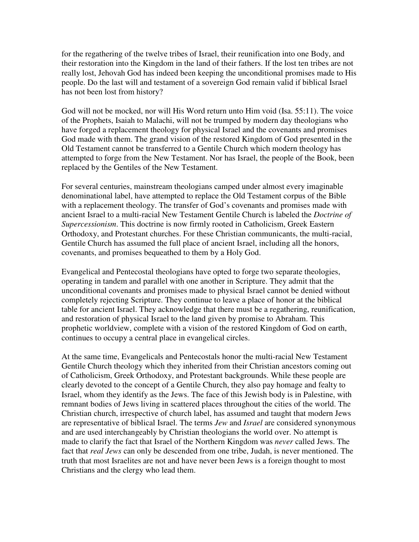for the regathering of the twelve tribes of Israel, their reunification into one Body, and their restoration into the Kingdom in the land of their fathers. If the lost ten tribes are not really lost, Jehovah God has indeed been keeping the unconditional promises made to His people. Do the last will and testament of a sovereign God remain valid if biblical Israel has not been lost from history?

God will not be mocked, nor will His Word return unto Him void (Isa. 55:11). The voice of the Prophets, Isaiah to Malachi, will not be trumped by modern day theologians who have forged a replacement theology for physical Israel and the covenants and promises God made with them. The grand vision of the restored Kingdom of God presented in the Old Testament cannot be transferred to a Gentile Church which modern theology has attempted to forge from the New Testament. Nor has Israel, the people of the Book, been replaced by the Gentiles of the New Testament.

For several centuries, mainstream theologians camped under almost every imaginable denominational label, have attempted to replace the Old Testament corpus of the Bible with a replacement theology. The transfer of God's covenants and promises made with ancient Israel to a multi-racial New Testament Gentile Church is labeled the *Doctrine of Supercessionism*. This doctrine is now firmly rooted in Catholicism, Greek Eastern Orthodoxy, and Protestant churches. For these Christian communicants, the multi-racial, Gentile Church has assumed the full place of ancient Israel, including all the honors, covenants, and promises bequeathed to them by a Holy God.

Evangelical and Pentecostal theologians have opted to forge two separate theologies, operating in tandem and parallel with one another in Scripture. They admit that the unconditional covenants and promises made to physical Israel cannot be denied without completely rejecting Scripture. They continue to leave a place of honor at the biblical table for ancient Israel. They acknowledge that there must be a regathering, reunification, and restoration of physical Israel to the land given by promise to Abraham. This prophetic worldview, complete with a vision of the restored Kingdom of God on earth, continues to occupy a central place in evangelical circles.

At the same time, Evangelicals and Pentecostals honor the multi-racial New Testament Gentile Church theology which they inherited from their Christian ancestors coming out of Catholicism, Greek Orthodoxy, and Protestant backgrounds. While these people are clearly devoted to the concept of a Gentile Church, they also pay homage and fealty to Israel, whom they identify as the Jews. The face of this Jewish body is in Palestine, with remnant bodies of Jews living in scattered places throughout the cities of the world. The Christian church, irrespective of church label, has assumed and taught that modern Jews are representative of biblical Israel. The terms *Jew* and *Israel* are considered synonymous and are used interchangeably by Christian theologians the world over. No attempt is made to clarify the fact that Israel of the Northern Kingdom was *never* called Jews. The fact that *real Jews* can only be descended from one tribe, Judah, is never mentioned. The truth that most Israelites are not and have never been Jews is a foreign thought to most Christians and the clergy who lead them.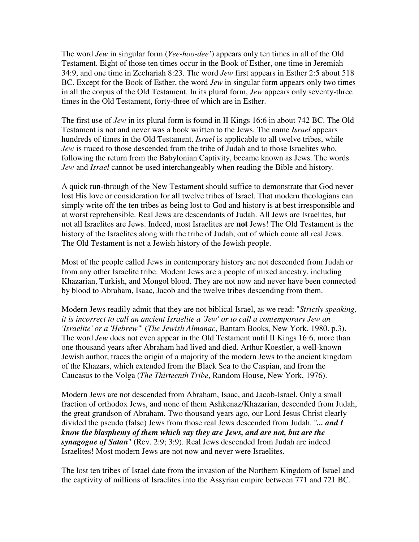The word *Jew* in singular form (*Yee-hoo-dee'*) appears only ten times in all of the Old Testament. Eight of those ten times occur in the Book of Esther, one time in Jeremiah 34:9, and one time in Zechariah 8:23. The word *Jew* first appears in Esther 2:5 about 518 BC. Except for the Book of Esther, the word *Jew* in singular form appears only two times in all the corpus of the Old Testament. In its plural form, *Jew* appears only seventy-three times in the Old Testament, forty-three of which are in Esther.

The first use of *Jew* in its plural form is found in II Kings 16:6 in about 742 BC. The Old Testament is not and never was a book written to the Jews. The name *Israel* appears hundreds of times in the Old Testament. *Israel* is applicable to all twelve tribes, while *Jew* is traced to those descended from the tribe of Judah and to those Israelites who, following the return from the Babylonian Captivity, became known as Jews. The words *Jew* and *Israel* cannot be used interchangeably when reading the Bible and history.

A quick run-through of the New Testament should suffice to demonstrate that God never lost His love or consideration for all twelve tribes of Israel. That modern theologians can simply write off the ten tribes as being lost to God and history is at best irresponsible and at worst reprehensible. Real Jews are descendants of Judah. All Jews are Israelites, but not all Israelites are Jews. Indeed, most Israelites are **not** Jews! The Old Testament is the history of the Israelites along with the tribe of Judah, out of which come all real Jews. The Old Testament is not a Jewish history of the Jewish people.

Most of the people called Jews in contemporary history are not descended from Judah or from any other Israelite tribe. Modern Jews are a people of mixed ancestry, including Khazarian, Turkish, and Mongol blood. They are not now and never have been connected by blood to Abraham, Isaac, Jacob and the twelve tribes descending from them.

Modern Jews readily admit that they are not biblical Israel, as we read: "*Strictly speaking, it is incorrect to call an ancient Israelite a 'Jew' or to call a contemporary Jew an 'Israelite' or a 'Hebrew'*" (*The Jewish Almanac*, Bantam Books, New York, 1980. p.3). The word *Jew* does not even appear in the Old Testament until II Kings 16:6, more than one thousand years after Abraham had lived and died. Arthur Koestler, a well-known Jewish author, traces the origin of a majority of the modern Jews to the ancient kingdom of the Khazars, which extended from the Black Sea to the Caspian, and from the Caucasus to the Volga (*The Thirteenth Tribe*, Random House, New York, 1976).

Modern Jews are not descended from Abraham, Isaac, and Jacob-Israel. Only a small fraction of orthodox Jews, and none of them Ashkenaz/Khazarian, descended from Judah, the great grandson of Abraham. Two thousand years ago, our Lord Jesus Christ clearly divided the pseudo (false) Jews from those real Jews descended from Judah. "*... and I know the blasphemy of them which say they are Jews, and are not, but are the synagogue of Satan*" (Rev. 2:9; 3:9). Real Jews descended from Judah are indeed Israelites! Most modern Jews are not now and never were Israelites.

The lost ten tribes of Israel date from the invasion of the Northern Kingdom of Israel and the captivity of millions of Israelites into the Assyrian empire between 771 and 721 BC.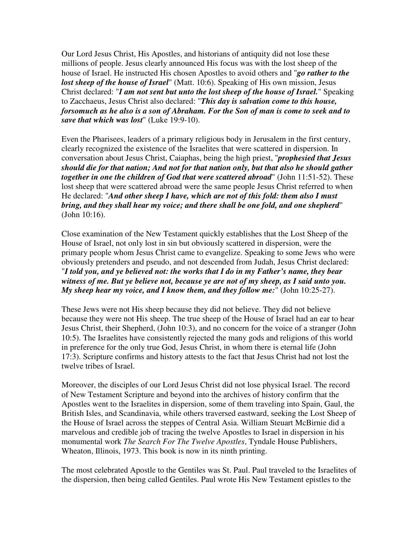Our Lord Jesus Christ, His Apostles, and historians of antiquity did not lose these millions of people. Jesus clearly announced His focus was with the lost sheep of the house of Israel. He instructed His chosen Apostles to avoid others and "*go rather to the lost sheep of the house of Israel*" (Matt. 10:6). Speaking of His own mission, Jesus Christ declared: "*I am not sent but unto the lost sheep of the house of Israel.*" Speaking to Zacchaeus, Jesus Christ also declared: "*This day is salvation come to this house, forsomuch as he also is a son of Abraham. For the Son of man is come to seek and to save that which was lost*" (Luke 19:9-10).

Even the Pharisees, leaders of a primary religious body in Jerusalem in the first century, clearly recognized the existence of the Israelites that were scattered in dispersion. In conversation about Jesus Christ, Caiaphas, being the high priest, "*prophesied that Jesus should die for that nation; And not for that nation only, but that also he should gather together in one the children of God that were scattered abroad*" (John 11:51-52). These lost sheep that were scattered abroad were the same people Jesus Christ referred to when He declared: "*And other sheep I have, which are not of this fold: them also I must bring, and they shall hear my voice; and there shall be one fold, and one shepherd*" (John 10:16).

Close examination of the New Testament quickly establishes that the Lost Sheep of the House of Israel, not only lost in sin but obviously scattered in dispersion, were the primary people whom Jesus Christ came to evangelize. Speaking to some Jews who were obviously pretenders and pseudo, and not descended from Judah, Jesus Christ declared: "*I told you, and ye believed not: the works that I do in my Father's name, they bear witness of me. But ye believe not, because ye are not of my sheep, as I said unto you. My sheep hear my voice, and I know them, and they follow me:*" (John 10:25-27).

These Jews were not His sheep because they did not believe. They did not believe because they were not His sheep. The true sheep of the House of Israel had an ear to hear Jesus Christ, their Shepherd, (John 10:3), and no concern for the voice of a stranger (John 10:5). The Israelites have consistently rejected the many gods and religions of this world in preference for the only true God, Jesus Christ, in whom there is eternal life (John 17:3). Scripture confirms and history attests to the fact that Jesus Christ had not lost the twelve tribes of Israel.

Moreover, the disciples of our Lord Jesus Christ did not lose physical Israel. The record of New Testament Scripture and beyond into the archives of history confirm that the Apostles went to the Israelites in dispersion, some of them traveling into Spain, Gaul, the British Isles, and Scandinavia, while others traversed eastward, seeking the Lost Sheep of the House of Israel across the steppes of Central Asia. William Steuart McBirnie did a marvelous and credible job of tracing the twelve Apostles to Israel in dispersion in his monumental work *The Search For The Twelve Apostles*, Tyndale House Publishers, Wheaton, Illinois, 1973. This book is now in its ninth printing.

The most celebrated Apostle to the Gentiles was St. Paul. Paul traveled to the Israelites of the dispersion, then being called Gentiles. Paul wrote His New Testament epistles to the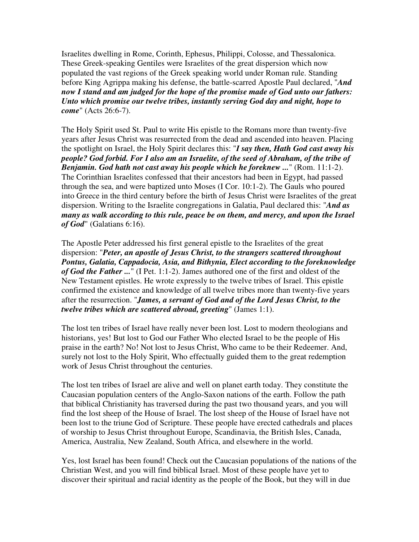Israelites dwelling in Rome, Corinth, Ephesus, Philippi, Colosse, and Thessalonica. These Greek-speaking Gentiles were Israelites of the great dispersion which now populated the vast regions of the Greek speaking world under Roman rule. Standing before King Agrippa making his defense, the battle-scarred Apostle Paul declared, "*And now I stand and am judged for the hope of the promise made of God unto our fathers: Unto which promise our twelve tribes, instantly serving God day and night, hope to come*" (Acts 26:6-7).

The Holy Spirit used St. Paul to write His epistle to the Romans more than twenty-five years after Jesus Christ was resurrected from the dead and ascended into heaven. Placing the spotlight on Israel, the Holy Spirit declares this: "*I say then, Hath God cast away his people? God forbid. For I also am an Israelite, of the seed of Abraham, of the tribe of Benjamin. God hath not cast away his people which he foreknew ...*" (Rom. 11:1-2). The Corinthian Israelites confessed that their ancestors had been in Egypt, had passed through the sea, and were baptized unto Moses (I Cor. 10:1-2). The Gauls who poured into Greece in the third century before the birth of Jesus Christ were Israelites of the great dispersion. Writing to the Israelite congregations in Galatia, Paul declared this: "*And as many as walk according to this rule, peace be on them, and mercy, and upon the Israel of God*" (Galatians 6:16).

The Apostle Peter addressed his first general epistle to the Israelites of the great dispersion: "*Peter, an apostle of Jesus Christ, to the strangers scattered throughout Pontus, Galatia, Cappadocia, Asia, and Bithynia, Elect according to the foreknowledge of God the Father ...*" (I Pet. 1:1-2). James authored one of the first and oldest of the New Testament epistles. He wrote expressly to the twelve tribes of Israel. This epistle confirmed the existence and knowledge of all twelve tribes more than twenty-five years after the resurrection. "*James, a servant of God and of the Lord Jesus Christ, to the twelve tribes which are scattered abroad, greeting*" (James 1:1).

The lost ten tribes of Israel have really never been lost. Lost to modern theologians and historians, yes! But lost to God our Father Who elected Israel to be the people of His praise in the earth? No! Not lost to Jesus Christ, Who came to be their Redeemer. And, surely not lost to the Holy Spirit, Who effectually guided them to the great redemption work of Jesus Christ throughout the centuries.

The lost ten tribes of Israel are alive and well on planet earth today. They constitute the Caucasian population centers of the Anglo-Saxon nations of the earth. Follow the path that biblical Christianity has traversed during the past two thousand years, and you will find the lost sheep of the House of Israel. The lost sheep of the House of Israel have not been lost to the triune God of Scripture. These people have erected cathedrals and places of worship to Jesus Christ throughout Europe, Scandinavia, the British Isles, Canada, America, Australia, New Zealand, South Africa, and elsewhere in the world.

Yes, lost Israel has been found! Check out the Caucasian populations of the nations of the Christian West, and you will find biblical Israel. Most of these people have yet to discover their spiritual and racial identity as the people of the Book, but they will in due